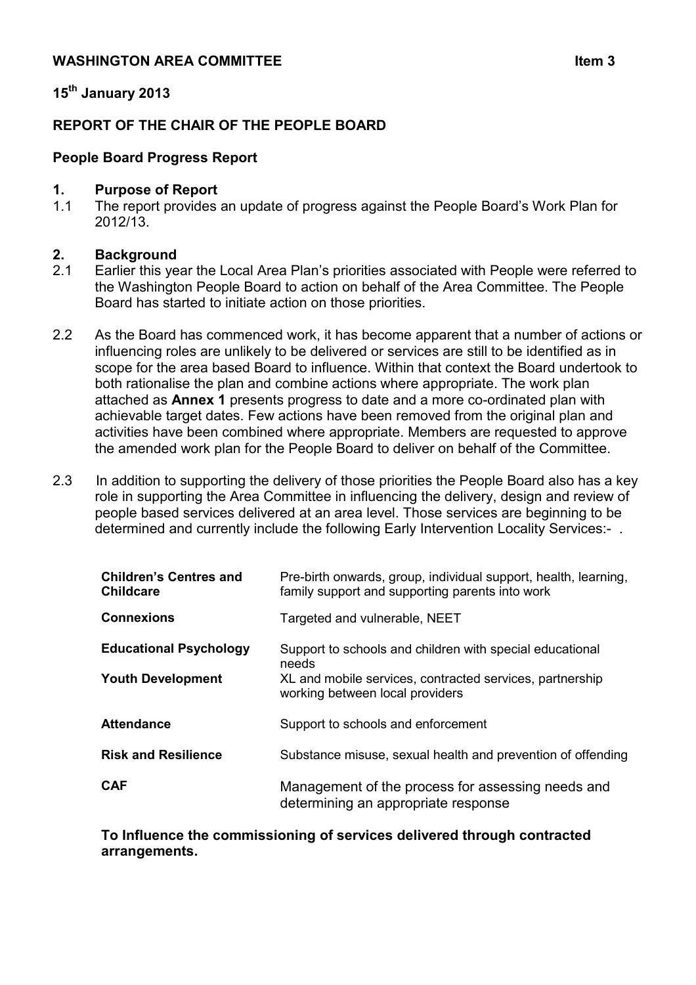## **15th January 2013**

## **REPORT OF THE CHAIR OF THE PEOPLE BOARD**

### **People Board Progress Report**

#### **1. Purpose of Report**

1.1 The report provides an update of progress against the People Board's Work Plan for 2012/13.

#### **2. Background**

- 2.1 Earlier this year the Local Area Plan's priorities associated with People were referred to the Washington People Board to action on behalf of the Area Committee. The People Board has started to initiate action on those priorities.
- 2.2 As the Board has commenced work, it has become apparent that a number of actions or influencing roles are unlikely to be delivered or services are still to be identified as in scope for the area based Board to influence. Within that context the Board undertook to both rationalise the plan and combine actions where appropriate. The work plan attached as **Annex 1** presents progress to date and a more co-ordinated plan with achievable target dates. Few actions have been removed from the original plan and activities have been combined where appropriate. Members are requested to approve the amended work plan for the People Board to deliver on behalf of the Committee.
- 2.3 In addition to supporting the delivery of those priorities the People Board also has a key role in supporting the Area Committee in influencing the delivery, design and review of people based services delivered at an area level. Those services are beginning to be determined and currently include the following Early Intervention Locality Services:- .

| <b>Children's Centres and</b><br><b>Childcare</b>         | Pre-birth onwards, group, individual support, health, learning,<br>family support and supporting parents into work                                               |
|-----------------------------------------------------------|------------------------------------------------------------------------------------------------------------------------------------------------------------------|
| <b>Connexions</b>                                         | Targeted and vulnerable, NEET                                                                                                                                    |
| <b>Educational Psychology</b><br><b>Youth Development</b> | Support to schools and children with special educational<br>needs<br>XL and mobile services, contracted services, partnership<br>working between local providers |
| <b>Attendance</b>                                         | Support to schools and enforcement                                                                                                                               |
| <b>Risk and Resilience</b>                                | Substance misuse, sexual health and prevention of offending                                                                                                      |
| <b>CAF</b>                                                | Management of the process for assessing needs and<br>determining an appropriate response                                                                         |

#### **To Influence the commissioning of services delivered through contracted arrangements.**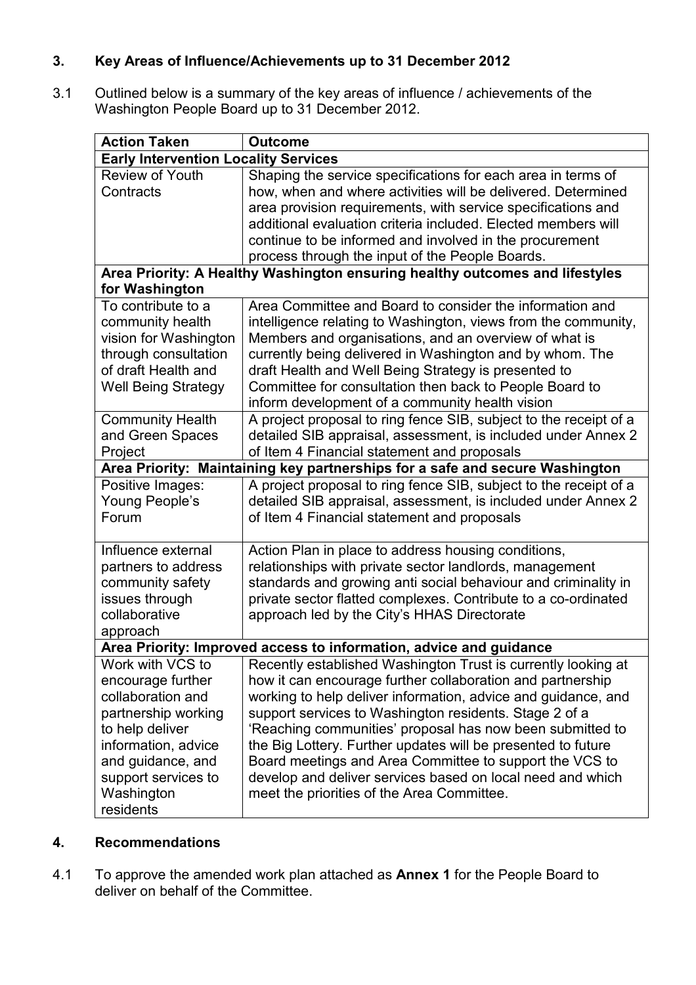# **3. Key Areas of Influence/Achievements up to 31 December 2012**

3.1 Outlined below is a summary of the key areas of influence / achievements of the Washington People Board up to 31 December 2012.

| <b>Action Taken</b>                                                                                                                                                   | <b>Outcome</b>                                                                                                               |  |
|-----------------------------------------------------------------------------------------------------------------------------------------------------------------------|------------------------------------------------------------------------------------------------------------------------------|--|
| <b>Early Intervention Locality Services</b>                                                                                                                           |                                                                                                                              |  |
| <b>Review of Youth</b><br>Contracts                                                                                                                                   | Shaping the service specifications for each area in terms of<br>how, when and where activities will be delivered. Determined |  |
|                                                                                                                                                                       | area provision requirements, with service specifications and                                                                 |  |
|                                                                                                                                                                       | additional evaluation criteria included. Elected members will                                                                |  |
|                                                                                                                                                                       | continue to be informed and involved in the procurement                                                                      |  |
|                                                                                                                                                                       | process through the input of the People Boards.                                                                              |  |
| Area Priority: A Healthy Washington ensuring healthy outcomes and lifestyles<br>for Washington                                                                        |                                                                                                                              |  |
| To contribute to a                                                                                                                                                    | Area Committee and Board to consider the information and                                                                     |  |
| community health                                                                                                                                                      | intelligence relating to Washington, views from the community,                                                               |  |
| vision for Washington                                                                                                                                                 | Members and organisations, and an overview of what is                                                                        |  |
| through consultation                                                                                                                                                  | currently being delivered in Washington and by whom. The                                                                     |  |
| of draft Health and                                                                                                                                                   | draft Health and Well Being Strategy is presented to                                                                         |  |
| <b>Well Being Strategy</b>                                                                                                                                            | Committee for consultation then back to People Board to                                                                      |  |
|                                                                                                                                                                       | inform development of a community health vision                                                                              |  |
| <b>Community Health</b>                                                                                                                                               | A project proposal to ring fence SIB, subject to the receipt of a                                                            |  |
| and Green Spaces                                                                                                                                                      | detailed SIB appraisal, assessment, is included under Annex 2                                                                |  |
|                                                                                                                                                                       |                                                                                                                              |  |
| Project                                                                                                                                                               | of Item 4 Financial statement and proposals                                                                                  |  |
| Area Priority: Maintaining key partnerships for a safe and secure Washington<br>A project proposal to ring fence SIB, subject to the receipt of a<br>Positive Images: |                                                                                                                              |  |
| Young People's                                                                                                                                                        | detailed SIB appraisal, assessment, is included under Annex 2                                                                |  |
| Forum                                                                                                                                                                 | of Item 4 Financial statement and proposals                                                                                  |  |
|                                                                                                                                                                       |                                                                                                                              |  |
| Influence external                                                                                                                                                    | Action Plan in place to address housing conditions,                                                                          |  |
| partners to address                                                                                                                                                   | relationships with private sector landlords, management                                                                      |  |
| community safety                                                                                                                                                      | standards and growing anti social behaviour and criminality in                                                               |  |
| issues through                                                                                                                                                        | private sector flatted complexes. Contribute to a co-ordinated                                                               |  |
| collaborative                                                                                                                                                         | approach led by the City's HHAS Directorate                                                                                  |  |
| approach                                                                                                                                                              |                                                                                                                              |  |
| Area Priority: Improved access to information, advice and guidance                                                                                                    |                                                                                                                              |  |
| Work with VCS to                                                                                                                                                      | Recently established Washington Trust is currently looking at                                                                |  |
| encourage further                                                                                                                                                     | how it can encourage further collaboration and partnership                                                                   |  |
| collaboration and                                                                                                                                                     | working to help deliver information, advice and guidance, and                                                                |  |
| partnership working                                                                                                                                                   | support services to Washington residents. Stage 2 of a                                                                       |  |
| to help deliver                                                                                                                                                       | 'Reaching communities' proposal has now been submitted to                                                                    |  |
| information, advice                                                                                                                                                   | the Big Lottery. Further updates will be presented to future                                                                 |  |
| and guidance, and                                                                                                                                                     | Board meetings and Area Committee to support the VCS to                                                                      |  |
| support services to                                                                                                                                                   | develop and deliver services based on local need and which                                                                   |  |
| Washington                                                                                                                                                            | meet the priorities of the Area Committee.                                                                                   |  |
| residents                                                                                                                                                             |                                                                                                                              |  |

### **4. Recommendations**

4.1 To approve the amended work plan attached as **Annex 1** for the People Board to deliver on behalf of the Committee.